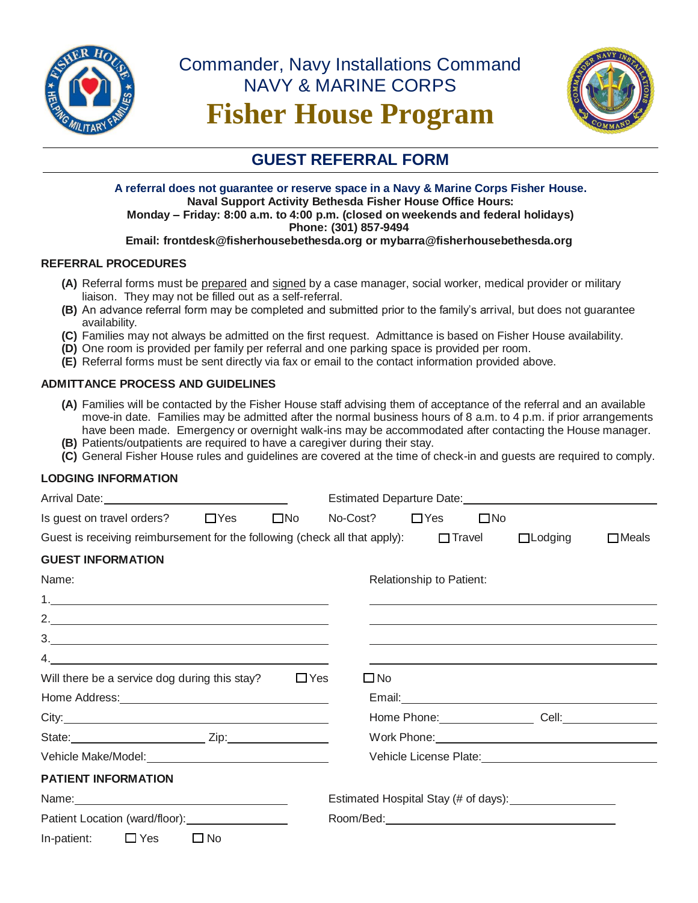

# Commander, Navy Installations Command NAVY & MARINE CORPS **Fisher House Program**



# **GUEST REFERRAL FORM**

### **A referral does not guarantee or reserve space in a Navy & Marine Corps Fisher House. Naval Support Activity Bethesda Fisher House Office Hours: Monday – Friday: 8:00 a.m. to 4:00 p.m. (closed on weekends and federal holidays) Phone: (301) 857-9494**

# **Email: frontdesk@fisherhousebethesda.org or mybarra@fisherhousebethesda.org**

# **REFERRAL PROCEDURES**

- **(A)** Referral forms must be prepared and signed by a case manager, social worker, medical provider or military liaison. They may not be filled out as a self-referral.
- **(B)** An advance referral form may be completed and submitted prior to the family's arrival, but does not guarantee availability.
- **(C)** Families may not always be admitted on the first request. Admittance is based on Fisher House availability.
- **(D)** One room is provided per family per referral and one parking space is provided per room.
- **(E)** Referral forms must be sent directly via fax or email to the contact information provided above.

# **ADMITTANCE PROCESS AND GUIDELINES**

- **(A)** Families will be contacted by the Fisher House staff advising them of acceptance of the referral and an available move-in date. Families may be admitted after the normal business hours of 8 a.m. to 4 p.m. if prior arrangements have been made. Emergency or overnight walk-ins may be accommodated after contacting the House manager.
- **(B)** Patients/outpatients are required to have a caregiver during their stay.
- **(C)** General Fisher House rules and guidelines are covered at the time of check-in and guests are required to comply.

### **LODGING INFORMATION**

| Is guest on travel orders? $\Box$ Yes $\Box$ No                                                                                                                                                                                                                                                                                                                                                                     |              |            | No-Cost?     | $\Box$ Yes               | $\square$ No |                                                                                                                                                                                                                                |              |
|---------------------------------------------------------------------------------------------------------------------------------------------------------------------------------------------------------------------------------------------------------------------------------------------------------------------------------------------------------------------------------------------------------------------|--------------|------------|--------------|--------------------------|--------------|--------------------------------------------------------------------------------------------------------------------------------------------------------------------------------------------------------------------------------|--------------|
| Guest is receiving reimbursement for the following (check all that apply): $\square$ Travel                                                                                                                                                                                                                                                                                                                         |              |            |              |                          |              | $\Box$ Lodging                                                                                                                                                                                                                 | $\Box$ Meals |
| <b>GUEST INFORMATION</b>                                                                                                                                                                                                                                                                                                                                                                                            |              |            |              |                          |              |                                                                                                                                                                                                                                |              |
| Name:                                                                                                                                                                                                                                                                                                                                                                                                               |              |            |              | Relationship to Patient: |              |                                                                                                                                                                                                                                |              |
|                                                                                                                                                                                                                                                                                                                                                                                                                     |              |            |              |                          |              | the control of the control of the control of the control of the control of the control of the control of the control of the control of the control of the control of the control of the control of the control of the control  |              |
| 2.                                                                                                                                                                                                                                                                                                                                                                                                                  |              |            |              |                          |              |                                                                                                                                                                                                                                |              |
| $\begin{array}{c c c c c c} \hline \rule{0pt}{16pt} \multicolumn{3}{c c }{3.} & \multicolumn{3}{c c }{\multicolumn{3}{c c }{\multicolumn{3}{c c }{\multicolumn{3}{c c }{\multicolumn{3}{c c }{\multicolumn{3}{c c }{\multicolumn{3}{c c }{\multicolumn{3}{c c }{\multicolumn{3}{c c }{\multicolumn{3}{c c }{\multicolumn{3}{c c }{\multicolumn{3}{c c }{\multicolumn{3}{c c }{\multicolumn{3}{c c }{\multicolumn{3$ |              |            |              |                          |              |                                                                                                                                                                                                                                |              |
| 4. $\qquad \qquad$                                                                                                                                                                                                                                                                                                                                                                                                  |              |            |              |                          |              |                                                                                                                                                                                                                                |              |
| Will there be a service dog during this stay?                                                                                                                                                                                                                                                                                                                                                                       |              | $\Box$ Yes | $\square$ No |                          |              |                                                                                                                                                                                                                                |              |
| Home Address: <u>contract and a series of the series of the series of the series of the series of the series of the series of the series of the series of the series of the series of the series of the series of the series of </u>                                                                                                                                                                                |              |            |              |                          |              | Email: <u>Alexander Alexander Alexander Alexander Alexander Alexander Alexander Alexander Alexander Alexander Alex</u>                                                                                                         |              |
|                                                                                                                                                                                                                                                                                                                                                                                                                     |              |            |              |                          |              | Home Phone: Cell: Cell:                                                                                                                                                                                                        |              |
| State: <u>Zip:</u> Zip:                                                                                                                                                                                                                                                                                                                                                                                             |              |            |              |                          |              | Work Phone: View Management of the Management of the Management of the Management of the Management of the Management of the Management of the Management of the Management of the Management of the Management of the Managem |              |
| Vehicle Make/Model: Vehicle Make/Model:                                                                                                                                                                                                                                                                                                                                                                             |              |            |              |                          |              | Vehicle License Plate: Vehicle License Plate:                                                                                                                                                                                  |              |
| <b>PATIENT INFORMATION</b>                                                                                                                                                                                                                                                                                                                                                                                          |              |            |              |                          |              |                                                                                                                                                                                                                                |              |
|                                                                                                                                                                                                                                                                                                                                                                                                                     |              |            |              |                          |              |                                                                                                                                                                                                                                |              |
| Patient Location (ward/floor): 2000 2010 2010                                                                                                                                                                                                                                                                                                                                                                       |              |            |              |                          |              |                                                                                                                                                                                                                                |              |
| In-patient: $\Box$ Yes                                                                                                                                                                                                                                                                                                                                                                                              | $\square$ No |            |              |                          |              |                                                                                                                                                                                                                                |              |